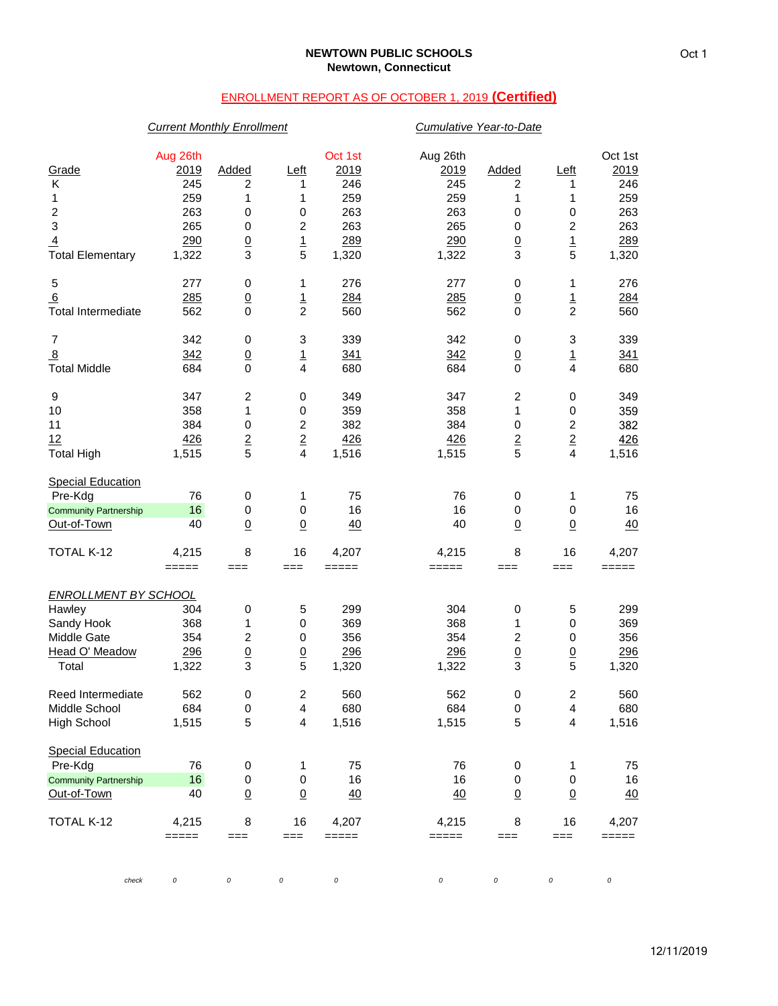# ENROLLMENT REPORT AS OF OCTOBER 1, 2019 **(Certified)**

## *Current Monthly Enrollment Cumulative Year-to-Date*

| Grade<br>Κ<br>1<br>$\boldsymbol{2}$<br>$\ensuremath{\mathsf{3}}$<br>$\overline{4}$            | Aug 26th<br>2019<br>245<br>259<br>263<br>265<br>290 | Added<br>2<br>1<br>0<br>0<br>$\underline{0}$             | <u>Left</u><br>1<br>1<br>0<br>2<br>$\overline{1}$         | Oct 1st<br>2019<br>246<br>259<br>263<br>263<br>289 | Aug 26th<br><u>2019</u><br>245<br>259<br>263<br>265<br>290 | Added<br>2<br>1<br>$\pmb{0}$<br>$\mathbf 0$<br>$\overline{0}$ | <u>Left</u><br>1<br>1<br>0<br>2<br>$\overline{1}$ | Oct 1st<br>2019<br>246<br>259<br>263<br>263<br>289 |
|-----------------------------------------------------------------------------------------------|-----------------------------------------------------|----------------------------------------------------------|-----------------------------------------------------------|----------------------------------------------------|------------------------------------------------------------|---------------------------------------------------------------|---------------------------------------------------|----------------------------------------------------|
| <b>Total Elementary</b>                                                                       | 1,322                                               | 3                                                        | 5                                                         | 1,320                                              | 1,322                                                      | 3                                                             | 5                                                 | 1,320                                              |
| 5<br>6<br><b>Total Intermediate</b>                                                           | 277<br>285<br>562                                   | 0<br>$\underline{0}$<br>0                                | 1<br>$\frac{1}{2}$                                        | 276<br>284<br>560                                  | 277<br>285<br>562                                          | 0<br>$\frac{0}{0}$                                            | 1<br>$\frac{1}{2}$                                | 276<br>284<br>560                                  |
| $\boldsymbol{7}$<br>$\overline{8}$<br><b>Total Middle</b>                                     | 342<br>342<br>684                                   | 0<br>$\underline{0}$<br>0                                | 3<br>$\overline{1}$<br>4                                  | 339<br>341<br>680                                  | 342<br>342<br>684                                          | 0<br>$\underline{0}$<br>$\mathbf 0$                           | 3<br><u>1</u><br>$\overline{4}$                   | 339<br>341<br>680                                  |
| 9<br>10<br>11<br>12<br><b>Total High</b>                                                      | 347<br>358<br>384<br>426<br>1,515                   | $\overline{\mathbf{c}}$<br>1<br>0<br>$\overline{2}$<br>5 | 0<br>0<br>$\overline{c}$<br>$\underline{\mathbf{2}}$<br>4 | 349<br>359<br>382<br>426<br>1,516                  | 347<br>358<br>384<br>426<br>1,515                          | $\overline{c}$<br>1<br>$\pmb{0}$<br>$\overline{2}$<br>5       | 0<br>0<br>2<br>$\overline{2}$<br>4                | 349<br>359<br>382<br>426<br>1,516                  |
| <b>Special Education</b><br>Pre-Kdg<br><b>Community Partnership</b><br>Out-of-Town            | 76<br>16<br>40                                      | 0<br>0<br>$\underline{0}$                                | 1<br>$\,0\,$<br>$\overline{0}$                            | 75<br>16<br>40                                     | 76<br>16<br>40                                             | 0<br>$\pmb{0}$<br>$\underline{0}$                             | 1<br>0<br>$\overline{0}$                          | 75<br>16<br>40                                     |
| TOTAL K-12                                                                                    | 4,215<br>$=====$                                    | 8<br>$==$                                                | 16<br>$==$                                                | 4,207<br>$=====$                                   | 4,215<br>=====                                             | 8<br>===                                                      | 16<br>$==$                                        | 4,207<br>=====                                     |
| <b>ENROLLMENT BY SCHOOL</b><br>Hawley<br>Sandy Hook<br>Middle Gate<br>Head O' Meadow<br>Total | 304<br>368<br>354<br>296<br>1,322                   | 0<br>1<br>$\boldsymbol{2}$<br>$\underline{0}$<br>3       | 5<br>$\,0\,$<br>0<br>$\overline{0}$<br>5                  | 299<br>369<br>356<br>296<br>1,320                  | 304<br>368<br>354<br>296<br>1,322                          | $\pmb{0}$<br>1<br>2<br>$\underline{0}$<br>3                   | 5<br>0<br>0<br>$\overline{0}$<br>5                | 299<br>369<br>356<br>296<br>1,320                  |
| Reed Intermediate<br>Middle School<br><b>High School</b>                                      | 562<br>684<br>1,515                                 | 0<br>0<br>5                                              | 2<br>4<br>4                                               | 560<br>680<br>1,516                                | 562<br>684<br>1,515                                        | 0<br>$\mathbf 0$<br>$\sqrt{5}$                                | 2<br>4<br>4                                       | 560<br>680<br>1,516                                |
| <b>Special Education</b><br>Pre-Kdg<br><b>Community Partnership</b><br>Out-of-Town            | 76<br>16<br>40                                      | 0<br>0<br>$\underline{0}$                                | 1<br>$\mathbf 0$<br>$\underline{0}$                       | 75<br>16<br>40                                     | 76<br>16<br>40                                             | 0<br>$\pmb{0}$<br>$\overline{0}$                              | 1<br>$\pmb{0}$<br>$\underline{0}$                 | 75<br>16<br>40                                     |
| TOTAL K-12                                                                                    | 4,215<br>$=====$                                    | 8<br>$==$                                                | 16<br>===                                                 | 4,207<br>$=====$                                   | 4,215<br>$=====$                                           | 8<br>===                                                      | 16<br>$==$                                        | 4,207<br>$=====$                                   |
| check                                                                                         | 0                                                   | 0                                                        | 0                                                         | 0                                                  | $\cal O$                                                   | 0                                                             | 0                                                 | 0                                                  |